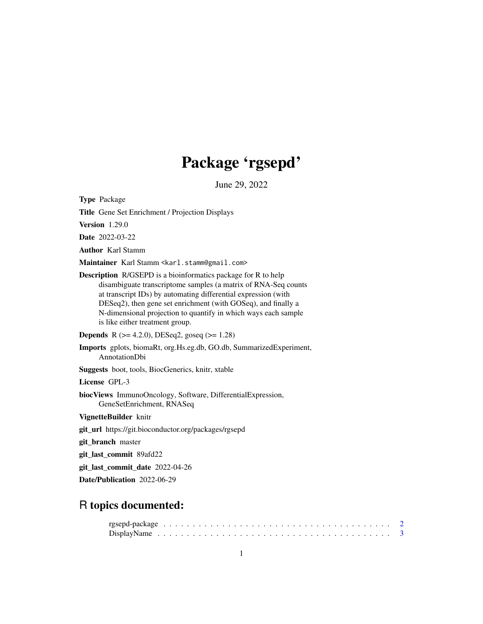# Package 'rgsepd'

June 29, 2022

Type Package

Title Gene Set Enrichment / Projection Displays

Version 1.29.0

Date 2022-03-22

Author Karl Stamm

Maintainer Karl Stamm <karl.stamm@gmail.com>

Description R/GSEPD is a bioinformatics package for R to help disambiguate transcriptome samples (a matrix of RNA-Seq counts at transcript IDs) by automating differential expression (with DESeq2), then gene set enrichment (with GOSeq), and finally a N-dimensional projection to quantify in which ways each sample is like either treatment group.

**Depends** R  $(>= 4.2.0)$ , DESeq2, goseq  $(>= 1.28)$ 

Imports gplots, biomaRt, org.Hs.eg.db, GO.db, SummarizedExperiment, AnnotationDbi

Suggests boot, tools, BiocGenerics, knitr, xtable

License GPL-3

biocViews ImmunoOncology, Software, DifferentialExpression, GeneSetEnrichment, RNASeq

VignetteBuilder knitr

git\_url https://git.bioconductor.org/packages/rgsepd

git\_branch master

git\_last\_commit 89afd22

git\_last\_commit\_date 2022-04-26

Date/Publication 2022-06-29

# R topics documented: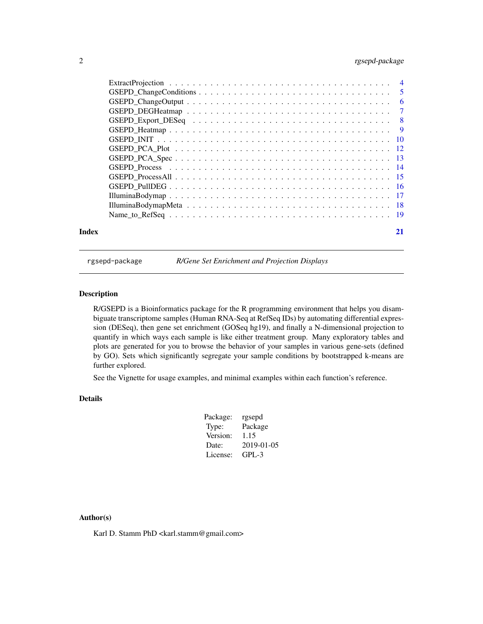# <span id="page-1-0"></span>2 rgsepd-package

rgsepd-package *R/Gene Set Enrichment and Projection Displays*

#### Description

R/GSEPD is a Bioinformatics package for the R programming environment that helps you disambiguate transcriptome samples (Human RNA-Seq at RefSeq IDs) by automating differential expression (DESeq), then gene set enrichment (GOSeq hg19), and finally a N-dimensional projection to quantify in which ways each sample is like either treatment group. Many exploratory tables and plots are generated for you to browse the behavior of your samples in various gene-sets (defined by GO). Sets which significantly segregate your sample conditions by bootstrapped k-means are further explored.

See the Vignette for usage examples, and minimal examples within each function's reference.

# Details

| Package: | rgsepd     |
|----------|------------|
| Type:    | Package    |
| Version: | 1.15       |
| Date:    | 2019-01-05 |
| License: | GPL-3      |

#### Author(s)

Karl D. Stamm PhD <karl.stamm@gmail.com>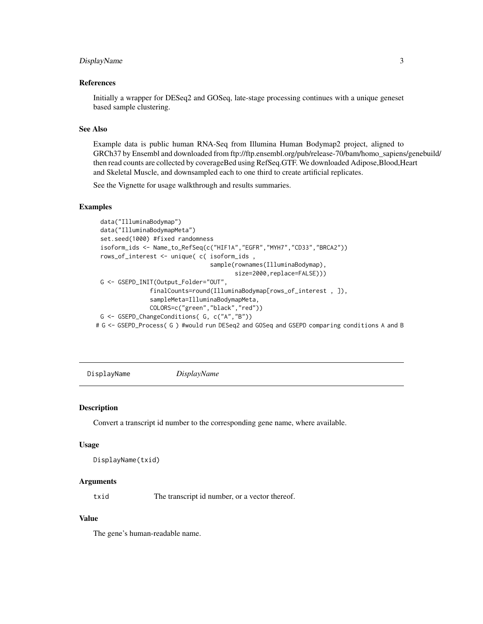## <span id="page-2-0"></span>DisplayName 3

#### References

Initially a wrapper for DESeq2 and GOSeq, late-stage processing continues with a unique geneset based sample clustering.

### See Also

Example data is public human RNA-Seq from Illumina Human Bodymap2 project, aligned to GRCh37 by Ensembl and downloaded from ftp://ftp.ensembl.org/pub/release-70/bam/homo\_sapiens/genebuild/ then read counts are collected by coverageBed using RefSeq.GTF. We downloaded Adipose,Blood,Heart and Skeletal Muscle, and downsampled each to one third to create artificial replicates.

See the Vignette for usage walkthrough and results summaries.

# Examples

```
data("IlluminaBodymap")
 data("IlluminaBodymapMeta")
 set.seed(1000) #fixed randomness
 isoform_ids <- Name_to_RefSeq(c("HIF1A","EGFR","MYH7","CD33","BRCA2"))
 rows_of_interest <- unique( c( isoform_ids ,
                                sample(rownames(IlluminaBodymap),
                                        size=2000,replace=FALSE)))
 G <- GSEPD_INIT(Output_Folder="OUT",
               finalCounts=round(IlluminaBodymap[rows_of_interest , ]),
               sampleMeta=IlluminaBodymapMeta,
               COLORS=c("green","black","red"))
 G <- GSEPD_ChangeConditions( G, c("A","B"))
# G <- GSEPD_Process( G ) #would run DESeq2 and GOSeq and GSEPD comparing conditions A and B
```
DisplayName *DisplayName*

#### Description

Convert a transcript id number to the corresponding gene name, where available.

#### Usage

```
DisplayName(txid)
```
# Arguments

txid The transcript id number, or a vector thereof.

#### Value

The gene's human-readable name.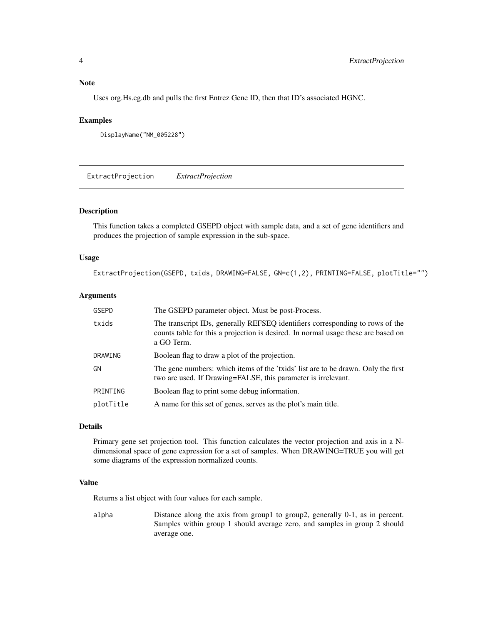# <span id="page-3-0"></span>Note

Uses org.Hs.eg.db and pulls the first Entrez Gene ID, then that ID's associated HGNC.

#### Examples

```
DisplayName("NM_005228")
```
ExtractProjection *ExtractProjection*

#### Description

This function takes a completed GSEPD object with sample data, and a set of gene identifiers and produces the projection of sample expression in the sub-space.

#### Usage

ExtractProjection(GSEPD, txids, DRAWING=FALSE, GN=c(1,2), PRINTING=FALSE, plotTitle="")

#### Arguments

| <b>GSEPD</b> | The GSEPD parameter object. Must be post-Process.                                                                                                                                |
|--------------|----------------------------------------------------------------------------------------------------------------------------------------------------------------------------------|
| txids        | The transcript IDs, generally REFSEQ identifiers corresponding to rows of the<br>counts table for this a projection is desired. In normal usage these are based on<br>a GO Term. |
| DRAWING      | Boolean flag to draw a plot of the projection.                                                                                                                                   |
| GN           | The gene numbers: which items of the 'txids' list are to be drawn. Only the first<br>two are used. If Drawing=FALSE, this parameter is irrelevant.                               |
| PRINTING     | Boolean flag to print some debug information.                                                                                                                                    |
| plotTitle    | A name for this set of genes, serves as the plot's main title.                                                                                                                   |

#### Details

Primary gene set projection tool. This function calculates the vector projection and axis in a Ndimensional space of gene expression for a set of samples. When DRAWING=TRUE you will get some diagrams of the expression normalized counts.

#### Value

Returns a list object with four values for each sample.

alpha Distance along the axis from group1 to group2, generally 0-1, as in percent. Samples within group 1 should average zero, and samples in group 2 should average one.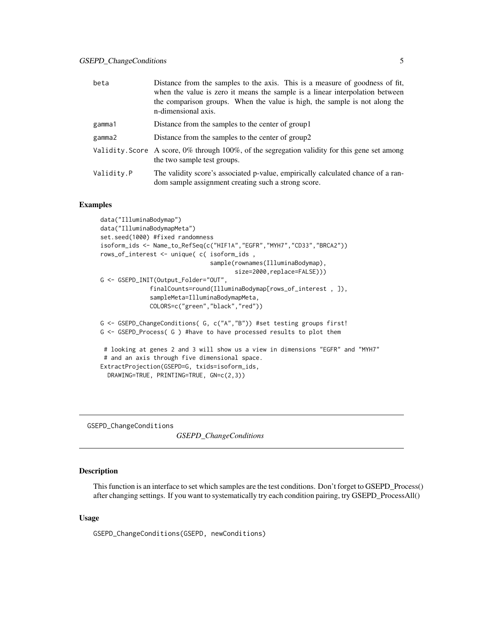<span id="page-4-0"></span>

| beta       | Distance from the samples to the axis. This is a measure of goodness of fit,<br>when the value is zero it means the sample is a linear interpolation between<br>the comparison groups. When the value is high, the sample is not along the<br>n-dimensional axis. |
|------------|-------------------------------------------------------------------------------------------------------------------------------------------------------------------------------------------------------------------------------------------------------------------|
| gamma1     | Distance from the samples to the center of group 1                                                                                                                                                                                                                |
| gamma2     | Distance from the samples to the center of group2                                                                                                                                                                                                                 |
|            | Validity. Score A score, $0\%$ through 100%, of the segregation validity for this gene set among<br>the two sample test groups.                                                                                                                                   |
| Validity.P | The validity score's associated p-value, empirically calculated chance of a ran-<br>dom sample assignment creating such a strong score.                                                                                                                           |

#### Examples

```
data("IlluminaBodymap")
data("IlluminaBodymapMeta")
set.seed(1000) #fixed randomness
isoform_ids <- Name_to_RefSeq(c("HIF1A","EGFR","MYH7","CD33","BRCA2"))
rows_of_interest <- unique( c( isoform_ids ,
                               sample(rownames(IlluminaBodymap),
                                      size=2000, replace=FALSE)))
G <- GSEPD_INIT(Output_Folder="OUT",
              finalCounts=round(IlluminaBodymap[rows_of_interest , ]),
              sampleMeta=IlluminaBodymapMeta,
              COLORS=c("green","black","red"))
G <- GSEPD_ChangeConditions( G, c("A","B")) #set testing groups first!
G <- GSEPD_Process( G ) #have to have processed results to plot them
 # looking at genes 2 and 3 will show us a view in dimensions "EGFR" and "MYH7"
 # and an axis through five dimensional space.
ExtractProjection(GSEPD=G, txids=isoform_ids,
  DRAWING=TRUE, PRINTING=TRUE, GN=c(2,3))
```
GSEPD\_ChangeConditions

*GSEPD\_ChangeConditions*

# Description

This function is an interface to set which samples are the test conditions. Don't forget to GSEPD\_Process() after changing settings. If you want to systematically try each condition pairing, try GSEPD\_ProcessAll()

#### Usage

GSEPD\_ChangeConditions(GSEPD, newConditions)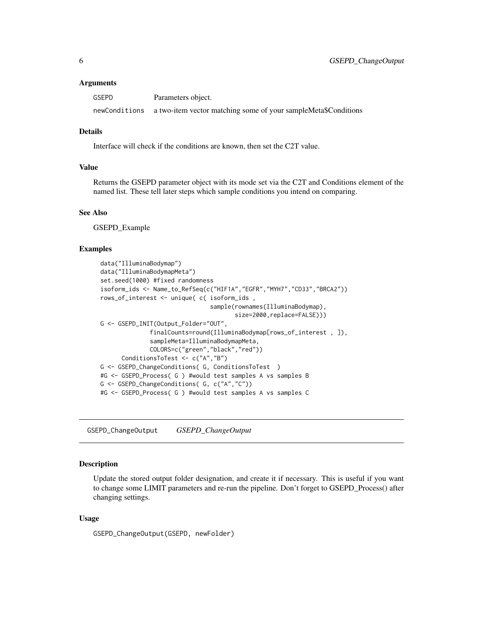<span id="page-5-0"></span>

| <b>GSEPD</b> | Parameters object.                                                           |
|--------------|------------------------------------------------------------------------------|
|              | newConditions a two-item vector matching some of your sampleMeta\$Conditions |

### Details

Interface will check if the conditions are known, then set the C2T value.

#### Value

Returns the GSEPD parameter object with its mode set via the C2T and Conditions element of the named list. These tell later steps which sample conditions you intend on comparing.

# See Also

GSEPD\_Example

#### Examples

```
data("IlluminaBodymap")
data("IlluminaBodymapMeta")
set.seed(1000) #fixed randomness
isoform_ids <- Name_to_RefSeq(c("HIF1A","EGFR","MYH7","CD33","BRCA2"))
rows_of_interest <- unique( c( isoform_ids ,
                               sample(rownames(IlluminaBodymap),
                                      size=2000,replace=FALSE)))
G <- GSEPD_INIT(Output_Folder="OUT",
              finalCounts=round(IlluminaBodymap[rows_of_interest , ]),
              sampleMeta=IlluminaBodymapMeta,
              COLORS=c("green","black","red"))
      ConditionsToTest <- c("A","B")
G <- GSEPD_ChangeConditions( G, ConditionsToTest )
#G <- GSEPD_Process( G ) #would test samples A vs samples B
G <- GSEPD_ChangeConditions( G, c("A","C"))
#G <- GSEPD_Process( G ) #would test samples A vs samples C
```
GSEPD\_ChangeOutput *GSEPD\_ChangeOutput*

#### Description

Update the stored output folder designation, and create it if necessary. This is useful if you want to change some LIMIT parameters and re-run the pipeline. Don't forget to GSEPD\_Process() after changing settings.

#### Usage

GSEPD\_ChangeOutput(GSEPD, newFolder)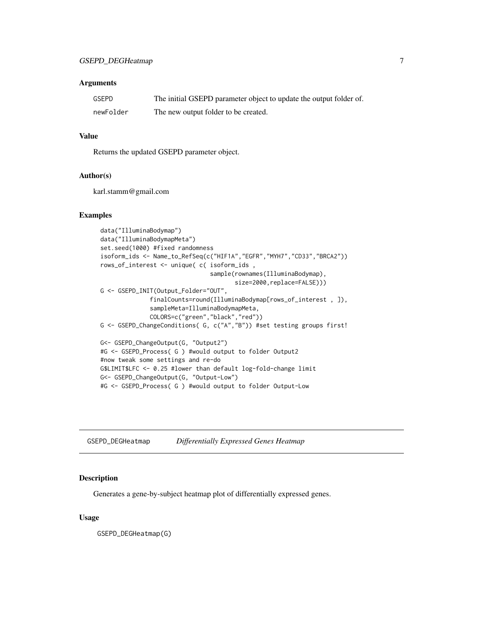<span id="page-6-0"></span>

| GSEPD     | The initial GSEPD parameter object to update the output folder of. |
|-----------|--------------------------------------------------------------------|
| newFolder | The new output folder to be created.                               |

### Value

Returns the updated GSEPD parameter object.

#### Author(s)

karl.stamm@gmail.com

#### Examples

```
data("IlluminaBodymap")
data("IlluminaBodymapMeta")
set.seed(1000) #fixed randomness
isoform_ids <- Name_to_RefSeq(c("HIF1A","EGFR","MYH7","CD33","BRCA2"))
rows_of_interest <- unique( c( isoform_ids ,
                               sample(rownames(IlluminaBodymap),
                                      size=2000, replace=FALSE)))
G <- GSEPD_INIT(Output_Folder="OUT",
              finalCounts=round(IlluminaBodymap[rows_of_interest , ]),
              sampleMeta=IlluminaBodymapMeta,
              COLORS=c("green","black","red"))
G <- GSEPD_ChangeConditions( G, c("A","B")) #set testing groups first!
G<- GSEPD_ChangeOutput(G, "Output2")
#G <- GSEPD_Process( G ) #would output to folder Output2
#now tweak some settings and re-do
G$LIMIT$LFC <- 0.25 #lower than default log-fold-change limit
G<- GSEPD_ChangeOutput(G, "Output-Low")
#G <- GSEPD_Process( G ) #would output to folder Output-Low
```
GSEPD\_DEGHeatmap *Differentially Expressed Genes Heatmap*

#### Description

Generates a gene-by-subject heatmap plot of differentially expressed genes.

#### Usage

GSEPD\_DEGHeatmap(G)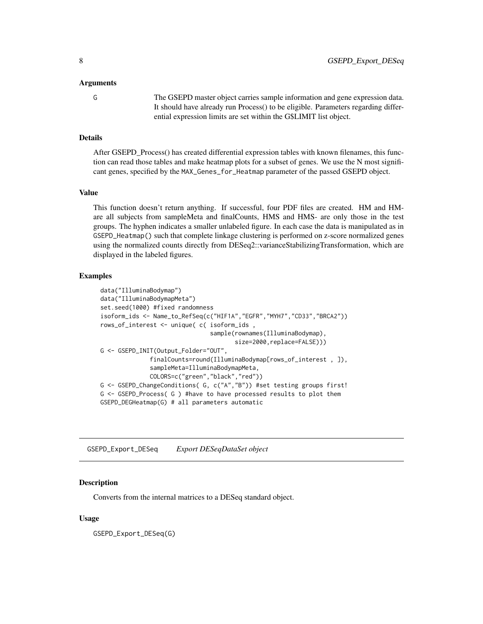<span id="page-7-0"></span>

G The GSEPD master object carries sample information and gene expression data. It should have already run Process() to be eligible. Parameters regarding differential expression limits are set within the G\$LIMIT list object.

# Details

After GSEPD\_Process() has created differential expression tables with known filenames, this function can read those tables and make heatmap plots for a subset of genes. We use the N most significant genes, specified by the MAX\_Genes\_for\_Heatmap parameter of the passed GSEPD object.

#### Value

This function doesn't return anything. If successful, four PDF files are created. HM and HMare all subjects from sampleMeta and finalCounts, HMS and HMS- are only those in the test groups. The hyphen indicates a smaller unlabeled figure. In each case the data is manipulated as in GSEPD\_Heatmap() such that complete linkage clustering is performed on z-score normalized genes using the normalized counts directly from DESeq2::varianceStabilizingTransformation, which are displayed in the labeled figures.

# Examples

```
data("IlluminaBodymap")
data("IlluminaBodymapMeta")
set.seed(1000) #fixed randomness
isoform_ids <- Name_to_RefSeq(c("HIF1A","EGFR","MYH7","CD33","BRCA2"))
rows_of_interest <- unique( c( isoform_ids ,
                               sample(rownames(IlluminaBodymap),
                                      size=2000, replace=FALSE)))
G <- GSEPD_INIT(Output_Folder="OUT",
              finalCounts=round(IlluminaBodymap[rows_of_interest , ]),
              sampleMeta=IlluminaBodymapMeta,
              COLORS=c("green","black","red"))
G <- GSEPD_ChangeConditions( G, c("A","B")) #set testing groups first!
G <- GSEPD_Process( G ) #have to have processed results to plot them
GSEPD_DEGHeatmap(G) # all parameters automatic
```
GSEPD\_Export\_DESeq *Export DESeqDataSet object*

#### **Description**

Converts from the internal matrices to a DESeq standard object.

#### Usage

GSEPD\_Export\_DESeq(G)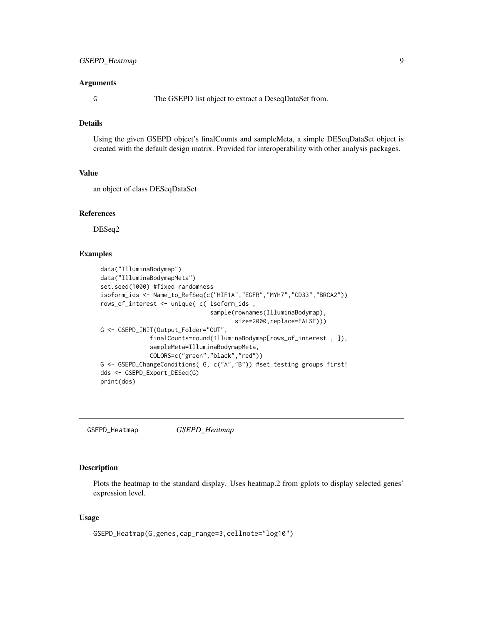<span id="page-8-0"></span>

G The GSEPD list object to extract a DeseqDataSet from.

# Details

Using the given GSEPD object's finalCounts and sampleMeta, a simple DESeqDataSet object is created with the default design matrix. Provided for interoperability with other analysis packages.

#### Value

an object of class DESeqDataSet

### References

DESeq2

#### Examples

```
data("IlluminaBodymap")
data("IlluminaBodymapMeta")
set.seed(1000) #fixed randomness
isoform_ids <- Name_to_RefSeq(c("HIF1A","EGFR","MYH7","CD33","BRCA2"))
rows_of_interest <- unique( c( isoform_ids ,
                               sample(rownames(IlluminaBodymap),
                                      size=2000, replace=FALSE)))
G <- GSEPD_INIT(Output_Folder="OUT",
              finalCounts=round(IlluminaBodymap[rows_of_interest , ]),
              sampleMeta=IlluminaBodymapMeta,
              COLORS=c("green","black","red"))
G <- GSEPD_ChangeConditions( G, c("A","B")) #set testing groups first!
dds <- GSEPD_Export_DESeq(G)
print(dds)
```
GSEPD\_Heatmap *GSEPD\_Heatmap*

#### Description

Plots the heatmap to the standard display. Uses heatmap.2 from gplots to display selected genes' expression level.

#### Usage

```
GSEPD_Heatmap(G,genes,cap_range=3,cellnote="log10")
```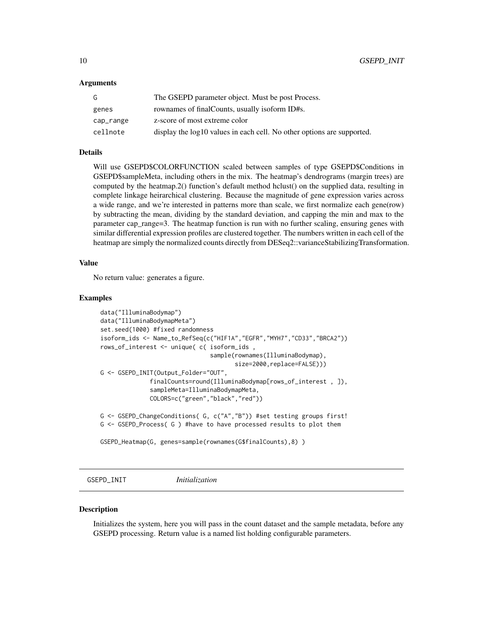<span id="page-9-0"></span>

| G         | The GSEPD parameter object. Must be post Process.                      |
|-----------|------------------------------------------------------------------------|
| genes     | rownames of final Counts, usually isoform ID#s.                        |
| cap_range | z-score of most extreme color                                          |
| cellnote  | display the log10 values in each cell. No other options are supported. |

# Details

Will use GSEPD\$COLORFUNCTION scaled between samples of type GSEPD\$Conditions in GSEPD\$sampleMeta, including others in the mix. The heatmap's dendrograms (margin trees) are computed by the heatmap.2() function's default method hclust() on the supplied data, resulting in complete linkage heirarchical clustering. Because the magnitude of gene expression varies across a wide range, and we're interested in patterns more than scale, we first normalize each gene(row) by subtracting the mean, dividing by the standard deviation, and capping the min and max to the parameter cap\_range=3. The heatmap function is run with no further scaling, ensuring genes with similar differential expression profiles are clustered together. The numbers written in each cell of the heatmap are simply the normalized counts directly from DESeq2::varianceStabilizingTransformation.

#### Value

No return value: generates a figure.

# Examples

```
data("IlluminaBodymap")
data("IlluminaBodymapMeta")
set.seed(1000) #fixed randomness
isoform_ids <- Name_to_RefSeq(c("HIF1A","EGFR","MYH7","CD33","BRCA2"))
rows_of_interest <- unique( c( isoform_ids ,
                               sample(rownames(IlluminaBodymap),
                                      size=2000,replace=FALSE)))
G <- GSEPD_INIT(Output_Folder="OUT",
              finalCounts=round(IlluminaBodymap[rows_of_interest , ]),
              sampleMeta=IlluminaBodymapMeta,
              COLORS=c("green","black","red"))
G <- GSEPD_ChangeConditions( G, c("A","B")) #set testing groups first!
G <- GSEPD_Process( G ) #have to have processed results to plot them
GSEPD_Heatmap(G, genes=sample(rownames(G$finalCounts),8) )
```
GSEPD\_INIT *Initialization*

#### **Description**

Initializes the system, here you will pass in the count dataset and the sample metadata, before any GSEPD processing. Return value is a named list holding configurable parameters.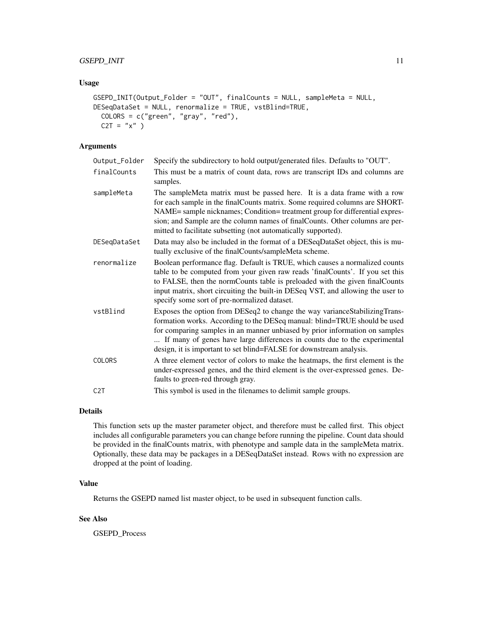# GSEPD\_INIT 11

#### Usage

```
GSEPD_INIT(Output_Folder = "OUT", finalCounts = NULL, sampleMeta = NULL,
DESeqDataSet = NULL, renormalize = TRUE, vstBlind=TRUE,
 COLORS = c("green", "gray", "red"),
 C2T = "x" )
```
# Arguments

| Output_Folder    | Specify the subdirectory to hold output/generated files. Defaults to "OUT".                                                                                                                                                                                                                                                                                                                  |
|------------------|----------------------------------------------------------------------------------------------------------------------------------------------------------------------------------------------------------------------------------------------------------------------------------------------------------------------------------------------------------------------------------------------|
| finalCounts      | This must be a matrix of count data, rows are transcript IDs and columns are<br>samples.                                                                                                                                                                                                                                                                                                     |
| sampleMeta       | The sampleMeta matrix must be passed here. It is a data frame with a row<br>for each sample in the finalCounts matrix. Some required columns are SHORT-<br>NAME= sample nicknames; Condition= treatment group for differential expres-<br>sion; and Sample are the column names of final Counts. Other columns are per-<br>mitted to facilitate subsetting (not automatically supported).    |
| DESeqDataSet     | Data may also be included in the format of a DESeqDataSet object, this is mu-<br>tually exclusive of the finalCounts/sampleMeta scheme.                                                                                                                                                                                                                                                      |
| renormalize      | Boolean performance flag. Default is TRUE, which causes a normalized counts<br>table to be computed from your given raw reads 'finalCounts'. If you set this<br>to FALSE, then the normCounts table is preloaded with the given finalCounts<br>input matrix, short circuiting the built-in DESeq VST, and allowing the user to<br>specify some sort of pre-normalized dataset.               |
| vstBlind         | Exposes the option from DESeq2 to change the way variance Stabilizing Trans-<br>formation works. According to the DESeq manual: blind=TRUE should be used<br>for comparing samples in an manner unbiased by prior information on samples<br>If many of genes have large differences in counts due to the experimental<br>design, it is important to set blind=FALSE for downstream analysis. |
| COLORS           | A three element vector of colors to make the heatmaps, the first element is the<br>under-expressed genes, and the third element is the over-expressed genes. De-<br>faults to green-red through gray.                                                                                                                                                                                        |
| C <sub>2</sub> T | This symbol is used in the filenames to delimit sample groups.                                                                                                                                                                                                                                                                                                                               |

#### Details

This function sets up the master parameter object, and therefore must be called first. This object includes all configurable parameters you can change before running the pipeline. Count data should be provided in the finalCounts matrix, with phenotype and sample data in the sampleMeta matrix. Optionally, these data may be packages in a DESeqDataSet instead. Rows with no expression are dropped at the point of loading.

# Value

Returns the GSEPD named list master object, to be used in subsequent function calls.

# See Also

GSEPD\_Process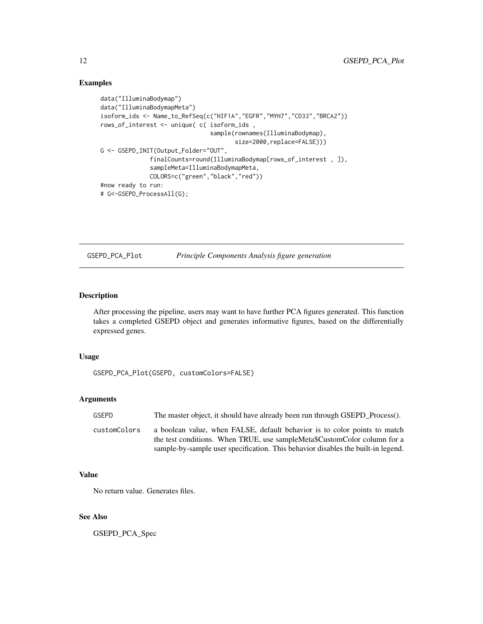# Examples

```
data("IlluminaBodymap")
data("IlluminaBodymapMeta")
isoform_ids <- Name_to_RefSeq(c("HIF1A","EGFR","MYH7","CD33","BRCA2"))
rows_of_interest <- unique( c( isoform_ids ,
                               sample(rownames(IlluminaBodymap),
                                      size=2000,replace=FALSE)))
G <- GSEPD_INIT(Output_Folder="OUT",
              finalCounts=round(IlluminaBodymap[rows_of_interest , ]),
              sampleMeta=IlluminaBodymapMeta,
              COLORS=c("green","black","red"))
#now ready to run:
# G<-GSEPD_ProcessAll(G);
```
GSEPD\_PCA\_Plot *Principle Components Analysis figure generation*

# Description

After processing the pipeline, users may want to have further PCA figures generated. This function takes a completed GSEPD object and generates informative figures, based on the differentially expressed genes.

#### Usage

```
GSEPD_PCA_Plot(GSEPD, customColors=FALSE)
```
# Arguments

| GSEPD        | The master object, it should have already been run through GSEPD Process().                                                                           |
|--------------|-------------------------------------------------------------------------------------------------------------------------------------------------------|
| customColors | a boolean value, when FALSE, default behavior is to color points to match<br>the test conditions. When TRUE, use sampleMeta\$CustomColor column for a |
|              | sample-by-sample user specification. This behavior disables the built-in legend.                                                                      |

# Value

No return value. Generates files.

# See Also

GSEPD\_PCA\_Spec

<span id="page-11-0"></span>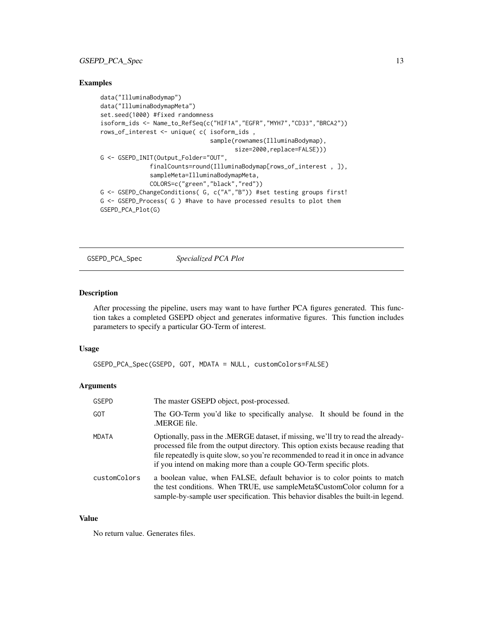# <span id="page-12-0"></span>GSEPD\_PCA\_Spec 13

# Examples

```
data("IlluminaBodymap")
data("IlluminaBodymapMeta")
set.seed(1000) #fixed randomness
isoform_ids <- Name_to_RefSeq(c("HIF1A","EGFR","MYH7","CD33","BRCA2"))
rows_of_interest <- unique( c( isoform_ids ,
                               sample(rownames(IlluminaBodymap),
                                      size=2000, replace=FALSE)))
G <- GSEPD_INIT(Output_Folder="OUT",
              finalCounts=round(IlluminaBodymap[rows_of_interest , ]),
              sampleMeta=IlluminaBodymapMeta,
              COLORS=c("green","black","red"))
G <- GSEPD_ChangeConditions( G, c("A","B")) #set testing groups first!
G <- GSEPD_Process( G ) #have to have processed results to plot them
GSEPD_PCA_Plot(G)
```
GSEPD\_PCA\_Spec *Specialized PCA Plot*

#### Description

After processing the pipeline, users may want to have further PCA figures generated. This function takes a completed GSEPD object and generates informative figures. This function includes parameters to specify a particular GO-Term of interest.

#### Usage

GSEPD\_PCA\_Spec(GSEPD, GOT, MDATA = NULL, customColors=FALSE)

# Arguments

| <b>GSEPD</b> | The master GSEPD object, post-processed.                                                                                                                                                                                                                                                                                            |
|--------------|-------------------------------------------------------------------------------------------------------------------------------------------------------------------------------------------------------------------------------------------------------------------------------------------------------------------------------------|
| GOT          | The GO-Term you'd like to specifically analyse. It should be found in the<br>.MERGE file.                                                                                                                                                                                                                                           |
| <b>MDATA</b> | Optionally, pass in the .MERGE dataset, if missing, we'll try to read the already-<br>processed file from the output directory. This option exists because reading that<br>file repeatedly is quite slow, so you're recommended to read it in once in advance<br>if you intend on making more than a couple GO-Term specific plots. |
| customColors | a boolean value, when FALSE, default behavior is to color points to match<br>the test conditions. When TRUE, use sampleMeta\$CustomColor column for a<br>sample-by-sample user specification. This behavior disables the built-in legend.                                                                                           |

#### Value

No return value. Generates files.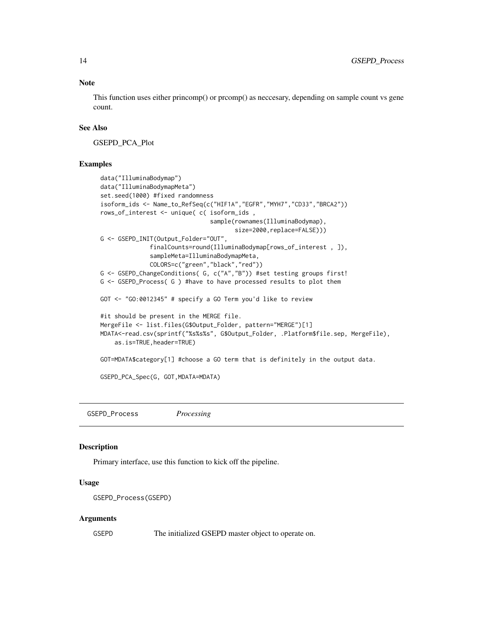#### Note

This function uses either princomp() or prcomp() as neccesary, depending on sample count vs gene count.

### See Also

GSEPD\_PCA\_Plot

#### Examples

```
data("IlluminaBodymap")
data("IlluminaBodymapMeta")
set.seed(1000) #fixed randomness
isoform_ids <- Name_to_RefSeq(c("HIF1A","EGFR","MYH7","CD33","BRCA2"))
rows_of_interest <- unique( c( isoform_ids ,
                               sample(rownames(IlluminaBodymap),
                                      size=2000,replace=FALSE)))
G <- GSEPD_INIT(Output_Folder="OUT",
              finalCounts=round(IlluminaBodymap[rows_of_interest , ]),
              sampleMeta=IlluminaBodymapMeta,
              COLORS=c("green","black","red"))
G <- GSEPD_ChangeConditions( G, c("A","B")) #set testing groups first!
G <- GSEPD_Process( G ) #have to have processed results to plot them
GOT <- "GO:0012345" # specify a GO Term you'd like to review
#it should be present in the MERGE file.
MergeFile <- list.files(G$Output_Folder, pattern="MERGE")[1]
MDATA<-read.csv(sprintf("%s%s%s", G$Output_Folder, .Platform$file.sep, MergeFile),
    as.is=TRUE,header=TRUE)
GOT=MDATA$category[1] #choose a GO term that is definitely in the output data.
GSEPD_PCA_Spec(G, GOT,MDATA=MDATA)
```
GSEPD\_Process *Processing*

#### **Description**

Primary interface, use this function to kick off the pipeline.

### Usage

```
GSEPD_Process(GSEPD)
```
#### Arguments

GSEPD The initialized GSEPD master object to operate on.

<span id="page-13-0"></span>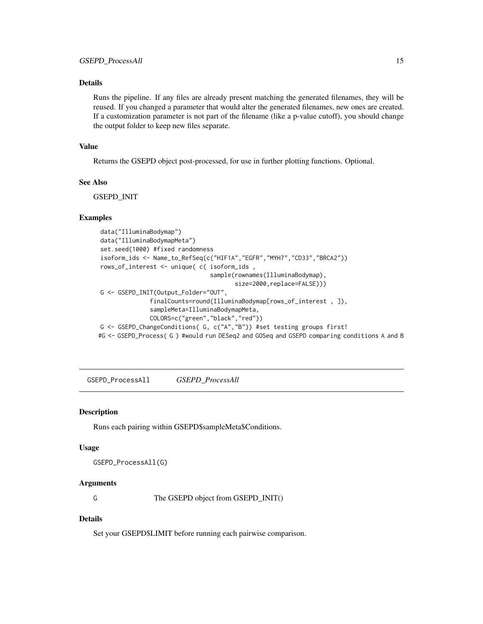# <span id="page-14-0"></span>Details

Runs the pipeline. If any files are already present matching the generated filenames, they will be reused. If you changed a parameter that would alter the generated filenames, new ones are created. If a customization parameter is not part of the filename (like a p-value cutoff), you should change the output folder to keep new files separate.

#### Value

Returns the GSEPD object post-processed, for use in further plotting functions. Optional.

#### See Also

GSEPD\_INIT

#### Examples

```
data("IlluminaBodymap")
data("IlluminaBodymapMeta")
set.seed(1000) #fixed randomness
isoform_ids <- Name_to_RefSeq(c("HIF1A","EGFR","MYH7","CD33","BRCA2"))
rows_of_interest <- unique( c( isoform_ids ,
                               sample(rownames(IlluminaBodymap),
                                       size=2000,replace=FALSE)))
G <- GSEPD_INIT(Output_Folder="OUT",
              finalCounts=round(IlluminaBodymap[rows_of_interest , ]),
              sampleMeta=IlluminaBodymapMeta,
              COLORS=c("green","black","red"))
G <- GSEPD_ChangeConditions( G, c("A","B")) #set testing groups first!
#G <- GSEPD_Process( G ) #would run DESeq2 and GOSeq and GSEPD comparing conditions A and B
```
GSEPD\_ProcessAll *GSEPD\_ProcessAll*

#### Description

Runs each pairing within GSEPD\$sampleMeta\$Conditions.

#### Usage

GSEPD\_ProcessAll(G)

## Arguments

G The GSEPD object from GSEPD\_INIT()

#### Details

Set your GSEPD\$LIMIT before running each pairwise comparison.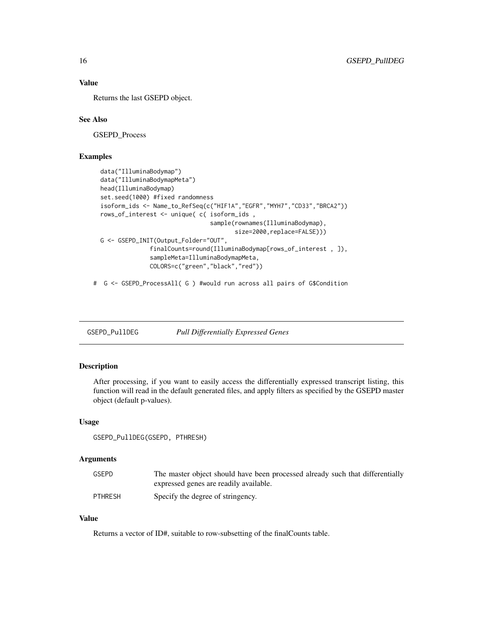# Value

Returns the last GSEPD object.

# See Also

GSEPD\_Process

# Examples

```
data("IlluminaBodymap")
data("IlluminaBodymapMeta")
head(IlluminaBodymap)
set.seed(1000) #fixed randomness
isoform_ids <- Name_to_RefSeq(c("HIF1A","EGFR","MYH7","CD33","BRCA2"))
rows_of_interest <- unique( c( isoform_ids ,
                               sample(rownames(IlluminaBodymap),
                                      size=2000, replace=FALSE)))
G <- GSEPD_INIT(Output_Folder="OUT",
              finalCounts=round(IlluminaBodymap[rows_of_interest , ]),
              sampleMeta=IlluminaBodymapMeta,
              COLORS=c("green","black","red"))
```
# G <- GSEPD\_ProcessAll( G ) #would run across all pairs of G\$Condition

GSEPD\_PullDEG *Pull Differentially Expressed Genes*

#### Description

After processing, if you want to easily access the differentially expressed transcript listing, this function will read in the default generated files, and apply filters as specified by the GSEPD master object (default p-values).

#### Usage

```
GSEPD_PullDEG(GSEPD, PTHRESH)
```
#### Arguments

| <b>GSEPD</b>   | The master object should have been processed already such that differentially |
|----------------|-------------------------------------------------------------------------------|
|                | expressed genes are readily available.                                        |
| <b>PTHRESH</b> | Specify the degree of stringency.                                             |

# Value

Returns a vector of ID#, suitable to row-subsetting of the finalCounts table.

<span id="page-15-0"></span>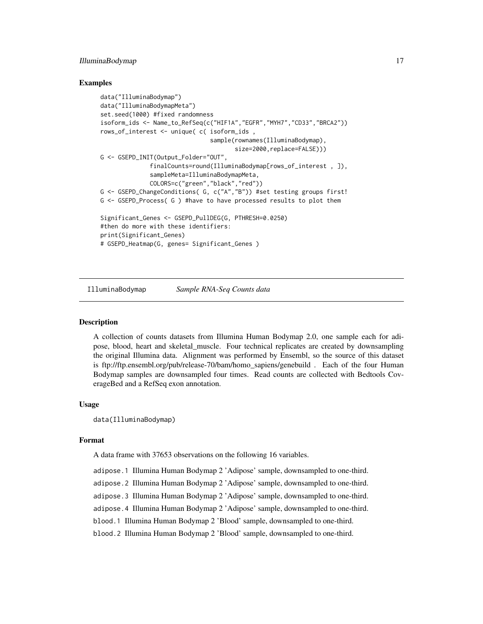#### <span id="page-16-0"></span>IlluminaBodymap 17

#### Examples

```
data("IlluminaBodymap")
data("IlluminaBodymapMeta")
set.seed(1000) #fixed randomness
isoform_ids <- Name_to_RefSeq(c("HIF1A","EGFR","MYH7","CD33","BRCA2"))
rows_of_interest <- unique( c( isoform_ids ,
                               sample(rownames(IlluminaBodymap),
                                      size=2000, replace=FALSE)))
G <- GSEPD_INIT(Output_Folder="OUT",
              finalCounts=round(IlluminaBodymap[rows_of_interest , ]),
              sampleMeta=IlluminaBodymapMeta,
              COLORS=c("green","black","red"))
G <- GSEPD_ChangeConditions( G, c("A","B")) #set testing groups first!
G <- GSEPD_Process( G ) #have to have processed results to plot them
Significant_Genes <- GSEPD_PullDEG(G, PTHRESH=0.0250)
#then do more with these identifiers:
print(Significant_Genes)
# GSEPD_Heatmap(G, genes= Significant_Genes )
```
IlluminaBodymap *Sample RNA-Seq Counts data*

#### **Description**

A collection of counts datasets from Illumina Human Bodymap 2.0, one sample each for adipose, blood, heart and skeletal\_muscle. Four technical replicates are created by downsampling the original Illumina data. Alignment was performed by Ensembl, so the source of this dataset is ftp://ftp.ensembl.org/pub/release-70/bam/homo\_sapiens/genebuild . Each of the four Human Bodymap samples are downsampled four times. Read counts are collected with Bedtools CoverageBed and a RefSeq exon annotation.

### Usage

data(IlluminaBodymap)

#### Format

A data frame with 37653 observations on the following 16 variables.

adipose.1 Illumina Human Bodymap 2 'Adipose' sample, downsampled to one-third.

adipose.2 Illumina Human Bodymap 2 'Adipose' sample, downsampled to one-third.

adipose.3 Illumina Human Bodymap 2 'Adipose' sample, downsampled to one-third.

adipose.4 Illumina Human Bodymap 2 'Adipose' sample, downsampled to one-third.

blood.1 Illumina Human Bodymap 2 'Blood' sample, downsampled to one-third.

blood.2 Illumina Human Bodymap 2 'Blood' sample, downsampled to one-third.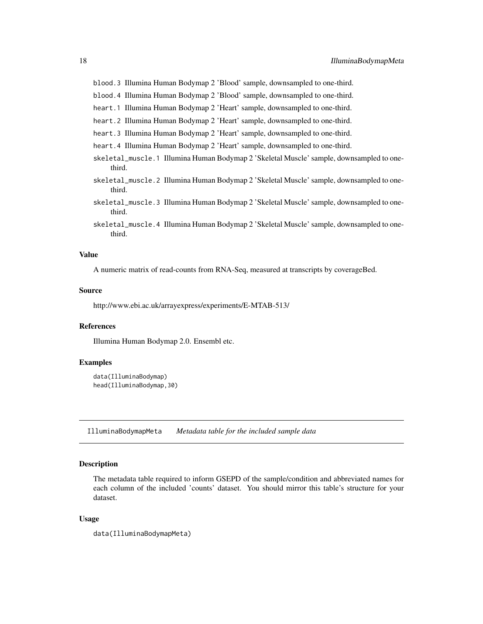<span id="page-17-0"></span>blood.3 Illumina Human Bodymap 2 'Blood' sample, downsampled to one-third.

blood.4 Illumina Human Bodymap 2 'Blood' sample, downsampled to one-third.

- heart.1 Illumina Human Bodymap 2 'Heart' sample, downsampled to one-third.
- heart.2 Illumina Human Bodymap 2 'Heart' sample, downsampled to one-third.
- heart.3 Illumina Human Bodymap 2 'Heart' sample, downsampled to one-third.
- heart.4 Illumina Human Bodymap 2 'Heart' sample, downsampled to one-third.
- skeletal\_muscle.1 Illumina Human Bodymap 2 'Skeletal Muscle' sample, downsampled to onethird.
- skeletal\_muscle.2 Illumina Human Bodymap 2 'Skeletal Muscle' sample, downsampled to onethird.
- skeletal\_muscle.3 Illumina Human Bodymap 2 'Skeletal Muscle' sample, downsampled to onethird.
- skeletal\_muscle.4 Illumina Human Bodymap 2 'Skeletal Muscle' sample, downsampled to onethird.

#### Value

A numeric matrix of read-counts from RNA-Seq, measured at transcripts by coverageBed.

#### Source

http://www.ebi.ac.uk/arrayexpress/experiments/E-MTAB-513/

#### References

Illumina Human Bodymap 2.0. Ensembl etc.

#### Examples

```
data(IlluminaBodymap)
head(IlluminaBodymap,30)
```
IlluminaBodymapMeta *Metadata table for the included sample data*

#### Description

The metadata table required to inform GSEPD of the sample/condition and abbreviated names for each column of the included 'counts' dataset. You should mirror this table's structure for your dataset.

# Usage

```
data(IlluminaBodymapMeta)
```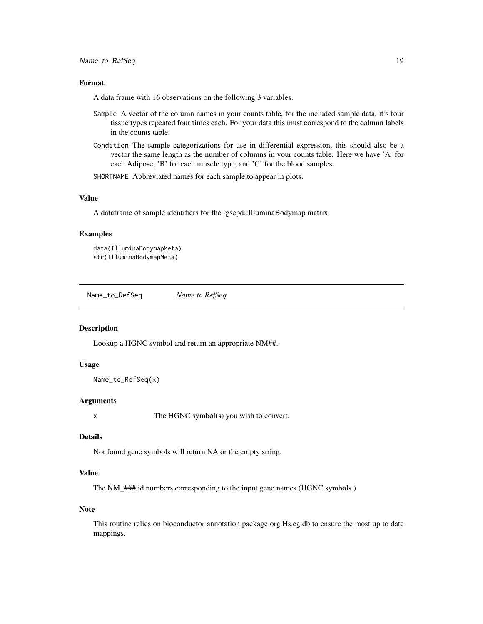### <span id="page-18-0"></span>Format

A data frame with 16 observations on the following 3 variables.

- Sample A vector of the column names in your counts table, for the included sample data, it's four tissue types repeated four times each. For your data this must correspond to the column labels in the counts table.
- Condition The sample categorizations for use in differential expression, this should also be a vector the same length as the number of columns in your counts table. Here we have 'A' for each Adipose, 'B' for each muscle type, and 'C' for the blood samples.

SHORTNAME Abbreviated names for each sample to appear in plots.

#### Value

A dataframe of sample identifiers for the rgsepd::IlluminaBodymap matrix.

#### Examples

```
data(IlluminaBodymapMeta)
str(IlluminaBodymapMeta)
```
Name\_to\_RefSeq *Name to RefSeq*

#### Description

Lookup a HGNC symbol and return an appropriate NM##.

#### Usage

```
Name_to_RefSeq(x)
```
#### Arguments

x The HGNC symbol(s) you wish to convert.

#### Details

Not found gene symbols will return NA or the empty string.

# Value

The NM\_### id numbers corresponding to the input gene names (HGNC symbols.)

#### Note

This routine relies on bioconductor annotation package org.Hs.eg.db to ensure the most up to date mappings.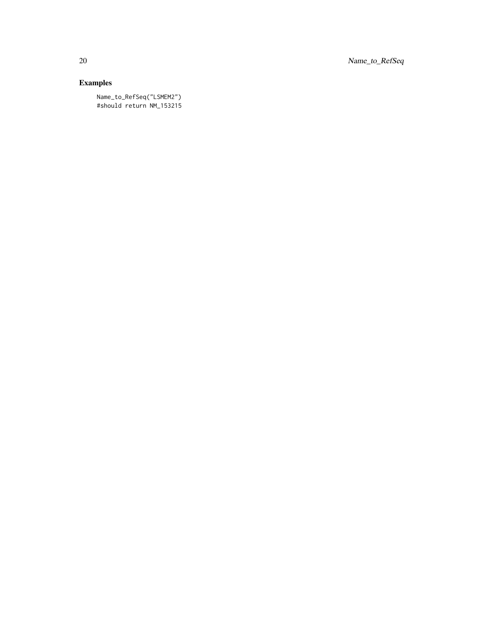20 Name\_to\_RefSeq

# Examples

Name\_to\_RefSeq("LSMEM2") #should return NM\_153215